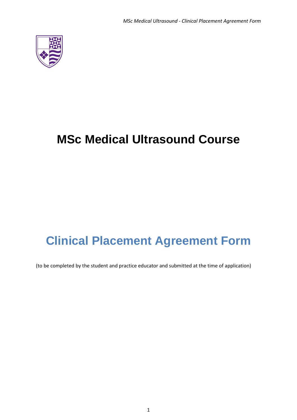

# **MSc Medical Ultrasound Course**

# **Clinical Placement Agreement Form**

(to be completed by the student and practice educator and submitted at the time of application)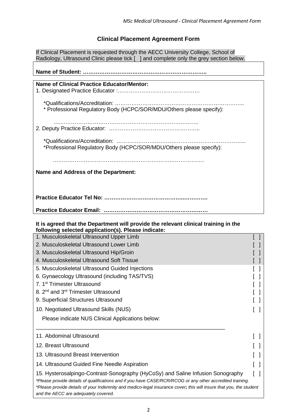## **Clinical Placement Agreement Form**

If Clinical Placement is requested through the AECC University College, School of Radiology, Ultrasound Clinic please tick [ ] and complete only the grey section below.

**Name of Student: …………………………………………………………..**

| <b>Name of Clinical Practice Educator/Mentor:</b>                    |
|----------------------------------------------------------------------|
|                                                                      |
|                                                                      |
|                                                                      |
|                                                                      |
|                                                                      |
|                                                                      |
| * Professional Regulatory Body (HCPC/SOR/MDU/Others please specify): |
|                                                                      |
|                                                                      |
|                                                                      |
|                                                                      |
|                                                                      |
|                                                                      |
|                                                                      |
|                                                                      |
|                                                                      |
| *Professional Regulatory Body (HCPC/SOR/MDU/Others please specify):  |
|                                                                      |
|                                                                      |
|                                                                      |
|                                                                      |
|                                                                      |
| Name and Address of the Department:                                  |
|                                                                      |
|                                                                      |
|                                                                      |
|                                                                      |
|                                                                      |
|                                                                      |
|                                                                      |
|                                                                      |
|                                                                      |
|                                                                      |
|                                                                      |
|                                                                      |

### **It is agreed that the Department will provide the relevant clinical training in the following selected application(s). Please indicate:**

| 1. Musculoskeletal Ultrasound Upper Limb                                                                                                                                                                                                                                                                                                                   |  |  |  |  |
|------------------------------------------------------------------------------------------------------------------------------------------------------------------------------------------------------------------------------------------------------------------------------------------------------------------------------------------------------------|--|--|--|--|
| 2. Musculoskeletal Ultrasound Lower Limb                                                                                                                                                                                                                                                                                                                   |  |  |  |  |
| 3. Musculoskeletal Ultrasound Hip/Groin                                                                                                                                                                                                                                                                                                                    |  |  |  |  |
| 4. Musculoskeletal Ultrasound Soft Tissue                                                                                                                                                                                                                                                                                                                  |  |  |  |  |
| 5. Musculoskeletal Ultrasound Guided Injections                                                                                                                                                                                                                                                                                                            |  |  |  |  |
| 6. Gynaecology Ultrasound (including TAS/TVS)                                                                                                                                                                                                                                                                                                              |  |  |  |  |
| 7. 1 <sup>st</sup> Trimester Ultrasound                                                                                                                                                                                                                                                                                                                    |  |  |  |  |
| 8. 2 <sup>nd</sup> and 3 <sup>rd</sup> Trimester Ultrasound                                                                                                                                                                                                                                                                                                |  |  |  |  |
| 9. Superficial Structures Ultrasound                                                                                                                                                                                                                                                                                                                       |  |  |  |  |
| 10. Negotiated Ultrasound Skills (NUS)                                                                                                                                                                                                                                                                                                                     |  |  |  |  |
| Please indicate NUS Clinical Applications below:                                                                                                                                                                                                                                                                                                           |  |  |  |  |
| 11. Abdominal Ultrasound                                                                                                                                                                                                                                                                                                                                   |  |  |  |  |
| 12. Breast Ultrasound                                                                                                                                                                                                                                                                                                                                      |  |  |  |  |
| 13. Ultrasound Breast Intervention                                                                                                                                                                                                                                                                                                                         |  |  |  |  |
| 14. Ultrasound Guided Fine Needle Aspiration                                                                                                                                                                                                                                                                                                               |  |  |  |  |
| 15. Hysterosalpingo-Contrast-Sonography (HyCoSy) and Saline Infusion Sonography<br>*Please provide details of qualifications and if you have CASE/RCR/RCOG or any other accredited training.<br>*Please provide details of your Indemnity and medico-legal insurance cover; this will insure that you, the student<br>and the AECC are adequately covered. |  |  |  |  |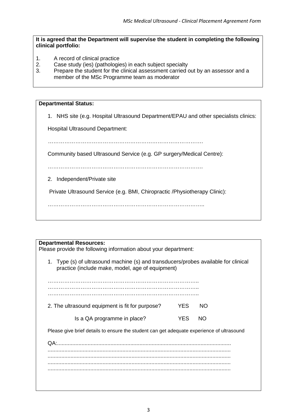### **It is agreed that the Department will supervise the student in completing the following clinical portfolio:**

- 1. A record of clinical practice
- 2. Case study (ies) (pathologies) in each subject specialty
- 3. Prepare the student for the clinical assessment carried out by an assessor and a member of the MSc Programme team as moderator

## **Departmental Status:** 1. NHS site (e.g. Hospital Ultrasound Department/EPAU and other specialists clinics: Hospital Ultrasound Department: …………………………………………………………………………. Community based Ultrasound Service (e.g. GP surgery/Medical Centre): …………………………………………………………………………. 2. Independent/Private site Private Ultrasound Service (e.g. BMI, Chiropractic /Physiotherapy Clinic): …………………………………………………………………………..

### **Departmental Resources:**

Please provide the following information about your department:

| 1. Type (s) of ultrasound machine (s) and transducers/probes available for clinical<br>practice (include make, model, age of equipment) |            |     |  |  |  |
|-----------------------------------------------------------------------------------------------------------------------------------------|------------|-----|--|--|--|
|                                                                                                                                         |            |     |  |  |  |
|                                                                                                                                         |            |     |  |  |  |
| 2. The ultrasound equipment is fit for purpose?                                                                                         | <b>YES</b> | NO. |  |  |  |
| Is a QA programme in place?                                                                                                             | <b>YES</b> | NO. |  |  |  |
| Please give brief details to ensure the student can get adequate experience of ultrasound                                               |            |     |  |  |  |
| QA                                                                                                                                      |            |     |  |  |  |
|                                                                                                                                         |            |     |  |  |  |
|                                                                                                                                         |            |     |  |  |  |
|                                                                                                                                         |            |     |  |  |  |
|                                                                                                                                         |            |     |  |  |  |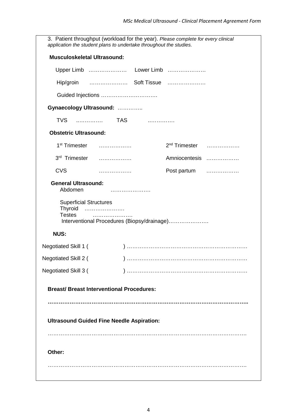3. Patient throughput (workload for the year). *Please complete for every clinical application the student plans to undertake throughout the studies.* **Musculoskeletal Ultrasound:**  Upper Limb …………………… Lower Limb ………………… Hip/groin ………………… Soft Tissue ………………… Guided Injections …………………………. **Gynaecology Ultrasound:** ………….. TVS ..…………. TAS ..…………. **Obstetric Ultrasound:** 1st Trimester ……………… 2nd Trimester ……………… 3rd Trimester ……………… Amniocentesis ……………… CVS ……………… Post partum ……………… **General Ultrasound:**  Abdomen …………………. Superficial Structures Thyroid …………………. Testes …………………. Interventional Procedures (Biopsy/drainage)………………….  **NUS:** Negotiated Skill 1 ( ) ………………………………………………………… Negotiated Skill 2 ( ) ………………………………………………………… Negotiated Skill 3 ( ) ………………………………………………………… **Breast/ Breast Interventional Procedures: ……………………………………………………………………………………………….. Ultrasound Guided Fine Needle Aspiration:** ………………………………………………………………………………………………. **Other:** ……………………………………………………………………………………………….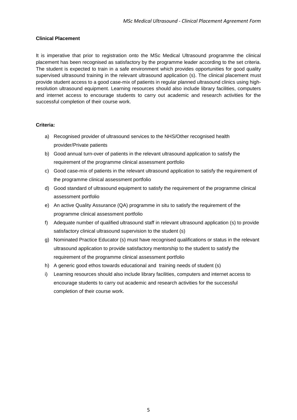### **Clinical Placement**

It is imperative that prior to registration onto the MSc Medical Ultrasound programme the clinical placement has been recognised as satisfactory by the programme leader according to the set criteria. The student is expected to train in a safe environment which provides opportunities for good quality supervised ultrasound training in the relevant ultrasound application (s). The clinical placement must provide student access to a good case-mix of patients in regular planned ultrasound clinics using highresolution ultrasound equipment. Learning resources should also include library facilities, computers and internet access to encourage students to carry out academic and research activities for the successful completion of their course work.

### **Criteria:**

- a) Recognised provider of ultrasound services to the NHS/Other recognised health provider/Private patients
- b) Good annual turn-over of patients in the relevant ultrasound application to satisfy the requirement of the programme clinical assessment portfolio
- c) Good case-mix of patients in the relevant ultrasound application to satisfy the requirement of the programme clinical assessment portfolio
- d) Good standard of ultrasound equipment to satisfy the requirement of the programme clinical assessment portfolio
- e) An active Quality Assurance (QA) programme in situ to satisfy the requirement of the programme clinical assessment portfolio
- f) Adequate number of qualified ultrasound staff in relevant ultrasound application (s) to provide satisfactory clinical ultrasound supervision to the student (s)
- g) Nominated Practice Educator (s) must have recognised qualifications or status in the relevant ultrasound application to provide satisfactory mentorship to the student to satisfy the requirement of the programme clinical assessment portfolio
- h) A generic good ethos towards educational and training needs of student (s)
- i) Learning resources should also include library facilities, computers and internet access to encourage students to carry out academic and research activities for the successful completion of their course work.